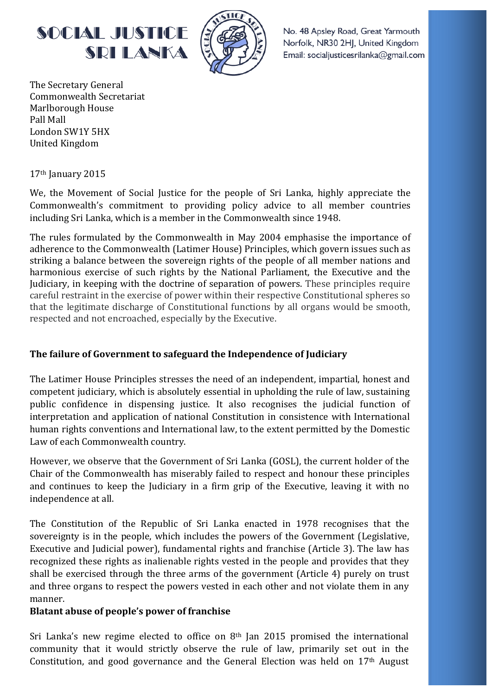



No. 48 Apsley Road, Great Yarmouth Norfolk, NR30 2HJ, United Kingdom Email: socialjusticesrilanka@gmail.com

The Secretary General Commonwealth Secretariat Marlborough House Pall Mall London SW1Y 5HX United Kingdom

17<sup>th</sup> January 2015

We, the Movement of Social Justice for the people of Sri Lanka, highly appreciate the Commonwealth's commitment to providing policy advice to all member countries including Sri Lanka, which is a member in the Commonwealth since 1948.

The rules formulated by the Commonwealth in May 2004 emphasise the importance of adherence to the Commonwealth (Latimer House) Principles, which govern issues such as striking a balance between the sovereign rights of the people of all member nations and harmonious exercise of such rights by the National Parliament, the Executive and the Judiciary, in keeping with the doctrine of separation of powers. These principles require careful restraint in the exercise of power within their respective Constitutional spheres so that the legitimate discharge of Constitutional functions by all organs would be smooth, respected and not encroached, especially by the Executive.

## **The failure of Government to safeguard the Independence of Judiciary**

The Latimer House Principles stresses the need of an independent, impartial, honest and competent judiciary, which is absolutely essential in upholding the rule of law, sustaining public confidence in dispensing justice. It also recognises the judicial function of interpretation and application of national Constitution in consistence with International human rights conventions and International law, to the extent permitted by the Domestic Law of each Commonwealth country.

However, we observe that the Government of Sri Lanka (GOSL), the current holder of the Chair of the Commonwealth has miserably failed to respect and honour these principles and continues to keep the Judiciary in a firm grip of the Executive, leaving it with no independence at all.

The Constitution of the Republic of Sri Lanka enacted in 1978 recognises that the sovereignty is in the people, which includes the powers of the Government (Legislative, Executive and Judicial power), fundamental rights and franchise (Article 3). The law has recognized these rights as inalienable rights vested in the people and provides that they shall be exercised through the three arms of the government (Article 4) purely on trust and three organs to respect the powers vested in each other and not violate them in any manner.

## **Blatant abuse of people's power of franchise**

Sri Lanka's new regime elected to office on  $8<sup>th</sup>$  Jan 2015 promised the international community that it would strictly observe the rule of law, primarily set out in the Constitution, and good governance and the General Election was held on  $17<sup>th</sup>$  August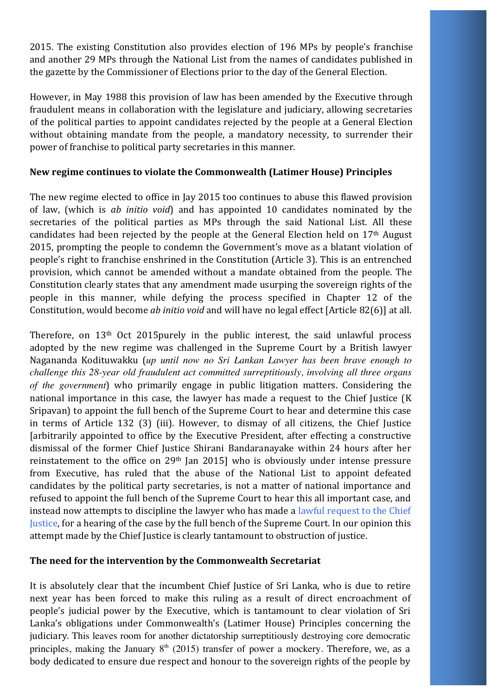2015. The existing Constitution also provides election of 196 MPs by people's franchise and another 29 MPs through the National List from the names of candidates published in the gazette by the Commissioner of Elections prior to the day of the General Election.

However, in May 1988 this provision of law has been amended by the Executive through fraudulent means in collaboration with the legislature and judiciary, allowing secretaries of the political parties to appoint candidates rejected by the people at a General Election without obtaining mandate from the people, a mandatory necessity, to surrender their power of franchise to political party secretaries in this manner.

## New regime continues to violate the Commonwealth (Latimer House) Principles

The new regime elected to office in Jay 2015 too continues to abuse this flawed provision of law, (which is *ab initio void*) and has appointed 10 candidates nominated by the secretaries of the political parties as MPs through the said National List. All these candidates had been rejected by the people at the General Election held on  $17<sup>th</sup>$  August 2015, prompting the people to condemn the Government's move as a blatant violation of people's right to franchise enshrined in the Constitution (Article 3). This is an entrenched provision, which cannot be amended without a mandate obtained from the people. The Constitution clearly states that any amendment made usurping the sovereign rights of the people in this manner, while defying the process specified in Chapter 12 of the Constitution, would become *ab initio void* and will have no legal effect [Article 82(6)] at all.

Therefore, on  $13<sup>th</sup>$  Oct 2015 purely in the public interest, the said unlawful process adopted by the new regime was challenged in the Supreme Court by a British lawyer Nagananda Kodituwakku (*up until now no Sri Lankan Lawyer has been brave enough to challenge this 28-year old fraudulent act committed surreptitiously, involving all three organs of the government*) who primarily engage in public litigation matters. Considering the national importance in this case, the lawyer has made a request to the Chief Justice (K) Sripavan) to appoint the full bench of the Supreme Court to hear and determine this case in terms of Article 132 (3) (iii). However, to dismay of all citizens, the Chief Justice [arbitrarily appointed to office by the Executive President, after effecting a constructive dismissal of the former Chief Justice Shirani Bandaranayake within 24 hours after her reinstatement to the office on  $29<sup>th</sup>$  Jan 2015] who is obviously under intense pressure from Executive, has ruled that the abuse of the National List to appoint defeated candidates by the political party secretaries, is not a matter of national importance and refused to appoint the full bench of the Supreme Court to hear this all important case, and instead now attempts to discipline the lawyer who has made a lawful request to the Chief Justice, for a hearing of the case by the full bench of the Supreme Court. In our opinion this attempt made by the Chief Justice is clearly tantamount to obstruction of justice.

## The need for the intervention by the Commonwealth Secretariat

It is absolutely clear that the incumbent Chief Justice of Sri Lanka, who is due to retire next year has been forced to make this ruling as a result of direct encroachment of people's judicial power by the Executive, which is tantamount to clear violation of Sri Lanka's obligations under Commonwealth's (Latimer House) Principles concerning the judiciary. This leaves room for another dictatorship surreptitiously destroying core democratic principles, making the January  $8<sup>th</sup>$  (2015) transfer of power a mockery. Therefore, we, as a body dedicated to ensure due respect and honour to the sovereign rights of the people by